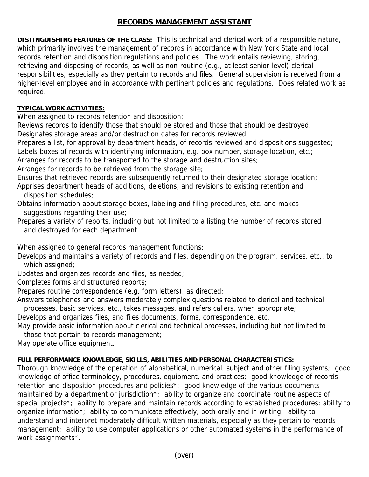## **RECORDS MANAGEMENT ASSISTANT**

**DISTINGUISHING FEATURES OF THE CLASS:** This is technical and clerical work of a responsible nature, which primarily involves the management of records in accordance with New York State and local records retention and disposition regulations and policies. The work entails reviewing, storing, retrieving and disposing of records, as well as non-routine (e.g., at least senior-level) clerical responsibilities, especially as they pertain to records and files. General supervision is received from a higher-level employee and in accordance with pertinent policies and regulations. Does related work as required.

## **TYPICAL WORK ACTIVITIES:**

When assigned to records retention and disposition:

Reviews records to identify those that should be stored and those that should be destroyed; Designates storage areas and/or destruction dates for records reviewed;

Prepares a list, for approval by department heads, of records reviewed and dispositions suggested;

Labels boxes of records with identifying information, e.g. box number, storage location, etc.;

Arranges for records to be transported to the storage and destruction sites;

Arranges for records to be retrieved from the storage site;

Ensures that retrieved records are subsequently returned to their designated storage location;

Apprises department heads of additions, deletions, and revisions to existing retention and disposition schedules;

Obtains information about storage boxes, labeling and filing procedures, etc. and makes suggestions regarding their use;

Prepares a variety of reports, including but not limited to a listing the number of records stored and destroyed for each department.

## When assigned to general records management functions:

Develops and maintains a variety of records and files, depending on the program, services, etc., to which assigned;

Updates and organizes records and files, as needed;

Completes forms and structured reports;

Prepares routine correspondence (e.g. form letters), as directed;

Answers telephones and answers moderately complex questions related to clerical and technical processes, basic services, etc., takes messages, and refers callers, when appropriate;

Develops and organizes files, and files documents, forms, correspondence, etc.

May provide basic information about clerical and technical processes, including but not limited to those that pertain to records management;

May operate office equipment.

## **FULL PERFORMANCE KNOWLEDGE, SKILLS, ABILITIES AND PERSONAL CHARACTERISTICS:**

Thorough knowledge of the operation of alphabetical, numerical, subject and other filing systems; good knowledge of office terminology, procedures, equipment, and practices; good knowledge of records retention and disposition procedures and policies\*; good knowledge of the various documents maintained by a department or jurisdiction\*; ability to organize and coordinate routine aspects of special projects<sup>\*</sup>; ability to prepare and maintain records according to established procedures; ability to organize information; ability to communicate effectively, both orally and in writing; ability to understand and interpret moderately difficult written materials, especially as they pertain to records management; ability to use computer applications or other automated systems in the performance of work assignments\*.